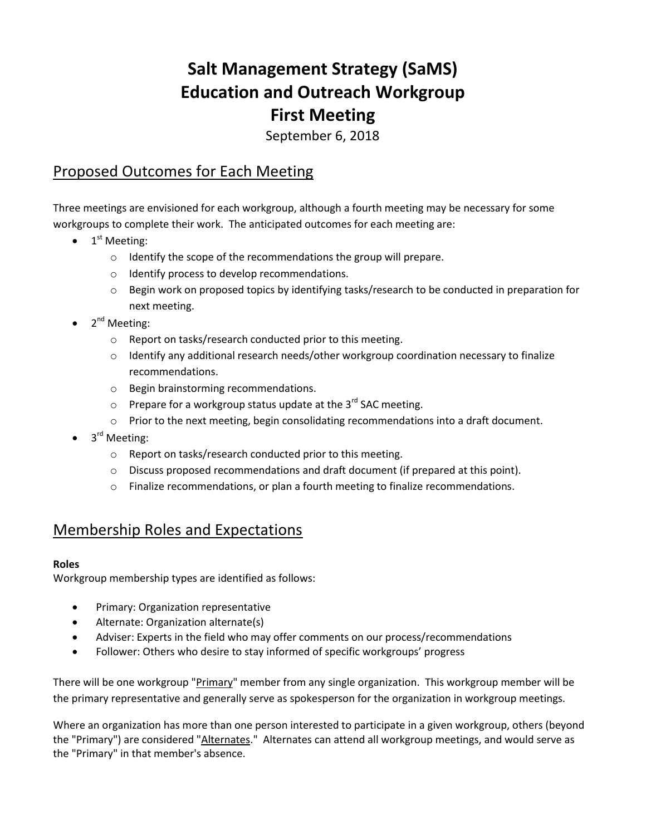# **Salt Management Strategy (SaMS) Education and Outreach Workgroup First Meeting**

September 6, 2018

## Proposed Outcomes for Each Meeting

Three meetings are envisioned for each workgroup, although a fourth meeting may be necessary for some workgroups to complete their work. The anticipated outcomes for each meeting are:

- $\bullet$  $1<sup>st</sup>$  Meeting:
	- o Identify the scope of the recommendations the group will prepare.
	- o Identify process to develop recommendations.
	- $\circ$  Begin work on proposed topics by identifying tasks/research to be conducted in preparation for next meeting.
- $\bullet$  2<sup>nd</sup> Meeting:
	- o Report on tasks/research conducted prior to this meeting.
	- $\circ$  Identify any additional research needs/other workgroup coordination necessary to finalize recommendations.
	- o Begin brainstorming recommendations.
	- $\circ$  Prepare for a workgroup status update at the 3<sup>rd</sup> SAC meeting.
	- o Prior to the next meeting, begin consolidating recommendations into a draft document.
- 3<sup>rd</sup> Meeting:
	- o Report on tasks/research conducted prior to this meeting.
	- $\circ$  Discuss proposed recommendations and draft document (if prepared at this point).
	- $\circ$  Finalize recommendations, or plan a fourth meeting to finalize recommendations.

## Membership Roles and Expectations

## **Roles**

Workgroup membership types are identified as follows:

- **•** Primary: Organization representative
- Alternate: Organization alternate(s)
- Adviser: Experts in the field who may offer comments on our process/recommendations
- Follower: Others who desire to stay informed of specific workgroups' progress

There will be one workgroup "Primary" member from any single organization. This workgroup member will be the primary representative and generally serve as spokesperson for the organization in workgroup meetings.

Where an organization has more than one person interested to participate in a given workgroup, others (beyond the "Primary") are considered "Alternates." Alternates can attend all workgroup meetings, and would serve as the "Primary" in that member's absence.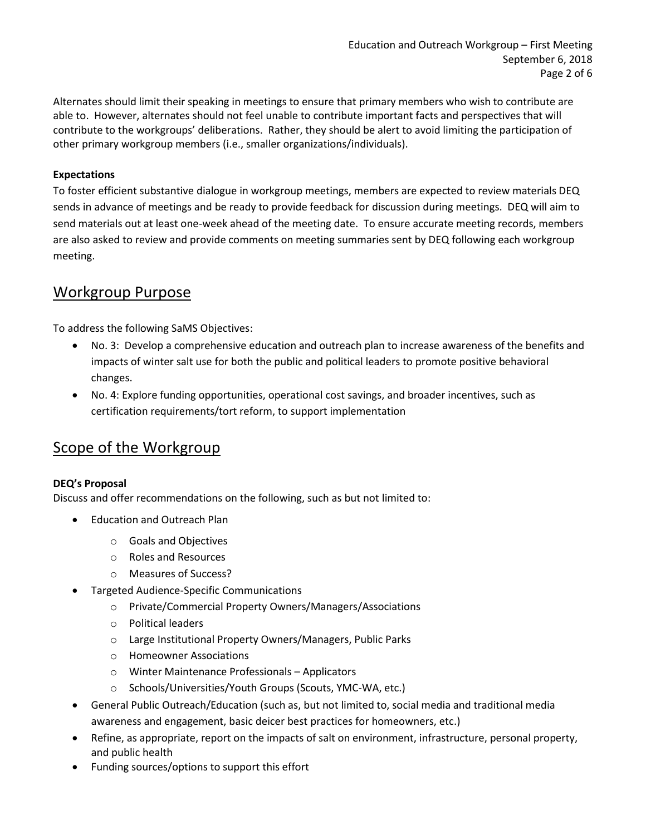Alternates should limit their speaking in meetings to ensure that primary members who wish to contribute are able to. However, alternates should not feel unable to contribute important facts and perspectives that will contribute to the workgroups' deliberations. Rather, they should be alert to avoid limiting the participation of other primary workgroup members (i.e., smaller organizations/individuals).

#### **Expectations**

To foster efficient substantive dialogue in workgroup meetings, members are expected to review materials DEQ sends in advance of meetings and be ready to provide feedback for discussion during meetings. DEQ will aim to send materials out at least one-week ahead of the meeting date. To ensure accurate meeting records, members are also asked to review and provide comments on meeting summaries sent by DEQ following each workgroup meeting.

## Workgroup Purpose

To address the following SaMS Objectives:

- No. 3: Develop a comprehensive education and outreach plan to increase awareness of the benefits and impacts of winter salt use for both the public and political leaders to promote positive behavioral changes.
- No. 4: Explore funding opportunities, operational cost savings, and broader incentives, such as certification requirements/tort reform, to support implementation

## Scope of the Workgroup

#### **DEQ's Proposal**

Discuss and offer recommendations on the following, such as but not limited to:

- Education and Outreach Plan
	- o Goals and Objectives
	- o Roles and Resources
	- o Measures of Success?
- Targeted Audience-Specific Communications
	- o Private/Commercial Property Owners/Managers/Associations
	- o Political leaders
	- o Large Institutional Property Owners/Managers, Public Parks
	- o Homeowner Associations
	- o Winter Maintenance Professionals Applicators
	- o Schools/Universities/Youth Groups (Scouts, YMC-WA, etc.)
- General Public Outreach/Education (such as, but not limited to, social media and traditional media awareness and engagement, basic deicer best practices for homeowners, etc.)
- Refine, as appropriate, report on the impacts of salt on environment, infrastructure, personal property, and public health
- Funding sources/options to support this effort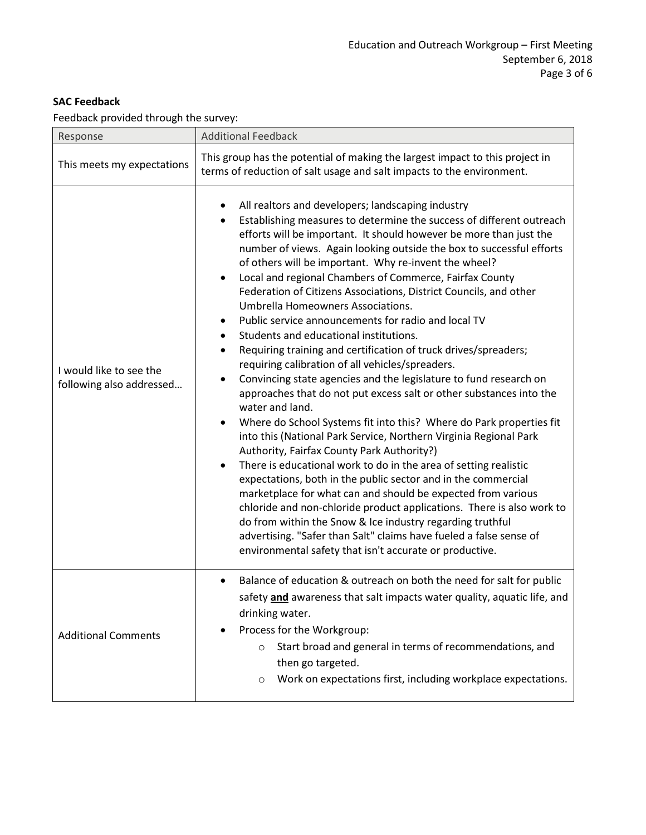## **SAC Feedback**

Feedback provided through the survey:

| Response                                            | <b>Additional Feedback</b>                                                                                                                                                                                                                                                                                                                                                                                                                                                                                                                                                                                                                                                                                                                                                                                                                                                                                                                                                                                                                                                                                                                                                                                                                                                                                                                                                                                                                                                                                                                                                                                                                    |
|-----------------------------------------------------|-----------------------------------------------------------------------------------------------------------------------------------------------------------------------------------------------------------------------------------------------------------------------------------------------------------------------------------------------------------------------------------------------------------------------------------------------------------------------------------------------------------------------------------------------------------------------------------------------------------------------------------------------------------------------------------------------------------------------------------------------------------------------------------------------------------------------------------------------------------------------------------------------------------------------------------------------------------------------------------------------------------------------------------------------------------------------------------------------------------------------------------------------------------------------------------------------------------------------------------------------------------------------------------------------------------------------------------------------------------------------------------------------------------------------------------------------------------------------------------------------------------------------------------------------------------------------------------------------------------------------------------------------|
| This meets my expectations                          | This group has the potential of making the largest impact to this project in<br>terms of reduction of salt usage and salt impacts to the environment.                                                                                                                                                                                                                                                                                                                                                                                                                                                                                                                                                                                                                                                                                                                                                                                                                                                                                                                                                                                                                                                                                                                                                                                                                                                                                                                                                                                                                                                                                         |
| I would like to see the<br>following also addressed | All realtors and developers; landscaping industry<br>٠<br>Establishing measures to determine the success of different outreach<br>$\bullet$<br>efforts will be important. It should however be more than just the<br>number of views. Again looking outside the box to successful efforts<br>of others will be important. Why re-invent the wheel?<br>Local and regional Chambers of Commerce, Fairfax County<br>$\bullet$<br>Federation of Citizens Associations, District Councils, and other<br>Umbrella Homeowners Associations.<br>Public service announcements for radio and local TV<br>Students and educational institutions.<br>٠<br>Requiring training and certification of truck drives/spreaders;<br>$\bullet$<br>requiring calibration of all vehicles/spreaders.<br>Convincing state agencies and the legislature to fund research on<br>approaches that do not put excess salt or other substances into the<br>water and land.<br>Where do School Systems fit into this? Where do Park properties fit<br>$\bullet$<br>into this (National Park Service, Northern Virginia Regional Park<br>Authority, Fairfax County Park Authority?)<br>There is educational work to do in the area of setting realistic<br>$\bullet$<br>expectations, both in the public sector and in the commercial<br>marketplace for what can and should be expected from various<br>chloride and non-chloride product applications. There is also work to<br>do from within the Snow & Ice industry regarding truthful<br>advertising. "Safer than Salt" claims have fueled a false sense of<br>environmental safety that isn't accurate or productive. |
| <b>Additional Comments</b>                          | Balance of education & outreach on both the need for salt for public<br>safety and awareness that salt impacts water quality, aquatic life, and<br>drinking water.<br>Process for the Workgroup:<br>Start broad and general in terms of recommendations, and<br>$\circ$<br>then go targeted.<br>Work on expectations first, including workplace expectations.<br>$\circ$                                                                                                                                                                                                                                                                                                                                                                                                                                                                                                                                                                                                                                                                                                                                                                                                                                                                                                                                                                                                                                                                                                                                                                                                                                                                      |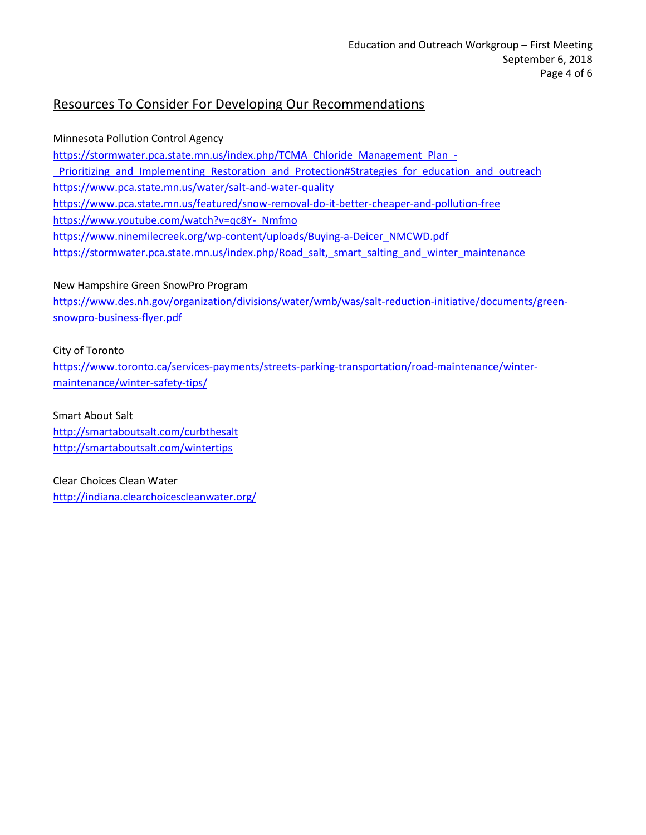## Resources To Consider For Developing Our Recommendations

Minnesota Pollution Control Agency [https://stormwater.pca.state.mn.us/index.php/TCMA\\_Chloride\\_Management\\_Plan\\_-](https://stormwater.pca.state.mn.us/index.php/TCMA_Chloride_Management_Plan_-_Prioritizing_and_Implementing_Restoration_and_Protection#Strategies_for_education_and_outreach) Prioritizing and Implementing Restoration and Protection#Strategies for education and outreach <https://www.pca.state.mn.us/water/salt-and-water-quality> <https://www.pca.state.mn.us/featured/snow-removal-do-it-better-cheaper-and-pollution-free> [https://www.youtube.com/watch?v=qc8Y-\\_Nmfmo](https://www.youtube.com/watch?v=qc8Y-_Nmfmo) [https://www.ninemilecreek.org/wp-content/uploads/Buying-a-Deicer\\_NMCWD.pdf](https://www.ninemilecreek.org/wp-content/uploads/Buying-a-Deicer_NMCWD.pdf) [https://stormwater.pca.state.mn.us/index.php/Road\\_salt,\\_smart\\_salting\\_and\\_winter\\_maintenance](https://stormwater.pca.state.mn.us/index.php/Road_salt,_smart_salting_and_winter_maintenance)

## New Hampshire Green SnowPro Program

[https://www.des.nh.gov/organization/divisions/water/wmb/was/salt-reduction-initiative/documents/green](https://www.des.nh.gov/organization/divisions/water/wmb/was/salt-reduction-initiative/documents/green-snowpro-business-flyer.pdf)[snowpro-business-flyer.pdf](https://www.des.nh.gov/organization/divisions/water/wmb/was/salt-reduction-initiative/documents/green-snowpro-business-flyer.pdf)

City of Toronto

[https://www.toronto.ca/services-payments/streets-parking-transportation/road-maintenance/winter](https://www.toronto.ca/services-payments/streets-parking-transportation/road-maintenance/winter-maintenance/winter-safety-tips/)[maintenance/winter-safety-tips/](https://www.toronto.ca/services-payments/streets-parking-transportation/road-maintenance/winter-maintenance/winter-safety-tips/)

Smart About Salt <http://smartaboutsalt.com/curbthesalt> <http://smartaboutsalt.com/wintertips>

Clear Choices Clean Water <http://indiana.clearchoicescleanwater.org/>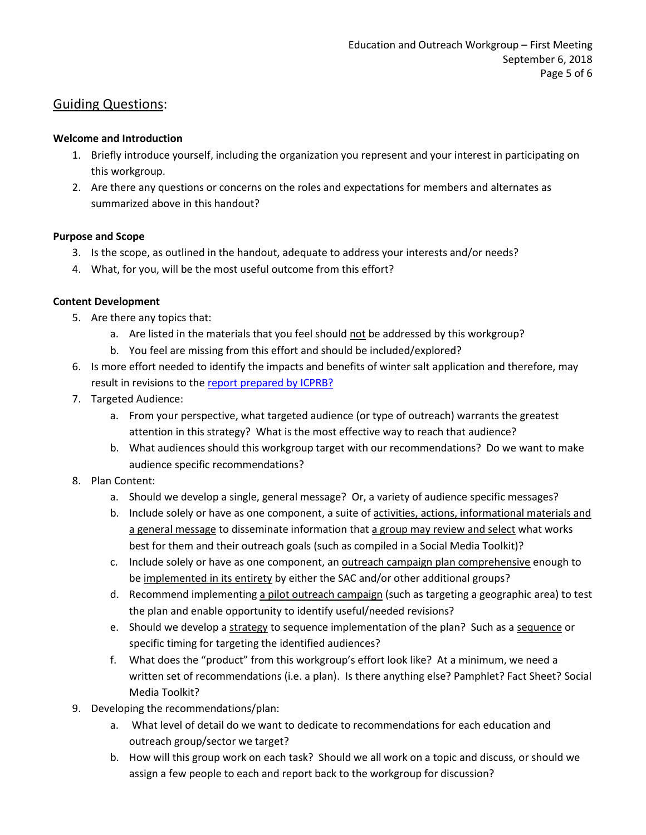## Guiding Questions:

## **Welcome and Introduction**

- 1. Briefly introduce yourself, including the organization you represent and your interest in participating on this workgroup.
- 2. Are there any questions or concerns on the roles and expectations for members and alternates as summarized above in this handout?

## **Purpose and Scope**

- 3. Is the scope, as outlined in the handout, adequate to address your interests and/or needs?
- 4. What, for you, will be the most useful outcome from this effort?

## **Content Development**

- 5. Are there any topics that:
	- a. Are listed in the materials that you feel should not be addressed by this workgroup?
	- b. You feel are missing from this effort and should be included/explored?
- 6. Is more effort needed to identify the impacts and benefits of winter salt application and therefore, may result in revisions to th[e report prepared by ICPRB?](https://www.deq.virginia.gov/Portals/0/DEQ/Water/TMDL/SaMS/SaMS_IP_ImpactsReport.pdf)
- 7. Targeted Audience:
	- a. From your perspective, what targeted audience (or type of outreach) warrants the greatest attention in this strategy? What is the most effective way to reach that audience?
	- b. What audiences should this workgroup target with our recommendations? Do we want to make audience specific recommendations?
- 8. Plan Content:
	- a. Should we develop a single, general message? Or, a variety of audience specific messages?
	- b. Include solely or have as one component, a suite of activities, actions, informational materials and a general message to disseminate information that a group may review and select what works best for them and their outreach goals (such as compiled in a Social Media Toolkit)?
	- c. Include solely or have as one component, an **outreach campaign plan comprehensive** enough to be implemented in its entirety by either the SAC and/or other additional groups?
	- d. Recommend implementing a pilot outreach campaign (such as targeting a geographic area) to test the plan and enable opportunity to identify useful/needed revisions?
	- e. Should we develop a strategy to sequence implementation of the plan? Such as a sequence or specific timing for targeting the identified audiences?
	- f. What does the "product" from this workgroup's effort look like? At a minimum, we need a written set of recommendations (i.e. a plan). Is there anything else? Pamphlet? Fact Sheet? Social Media Toolkit?
- 9. Developing the recommendations/plan:
	- a. What level of detail do we want to dedicate to recommendations for each education and outreach group/sector we target?
	- b. How will this group work on each task? Should we all work on a topic and discuss, or should we assign a few people to each and report back to the workgroup for discussion?